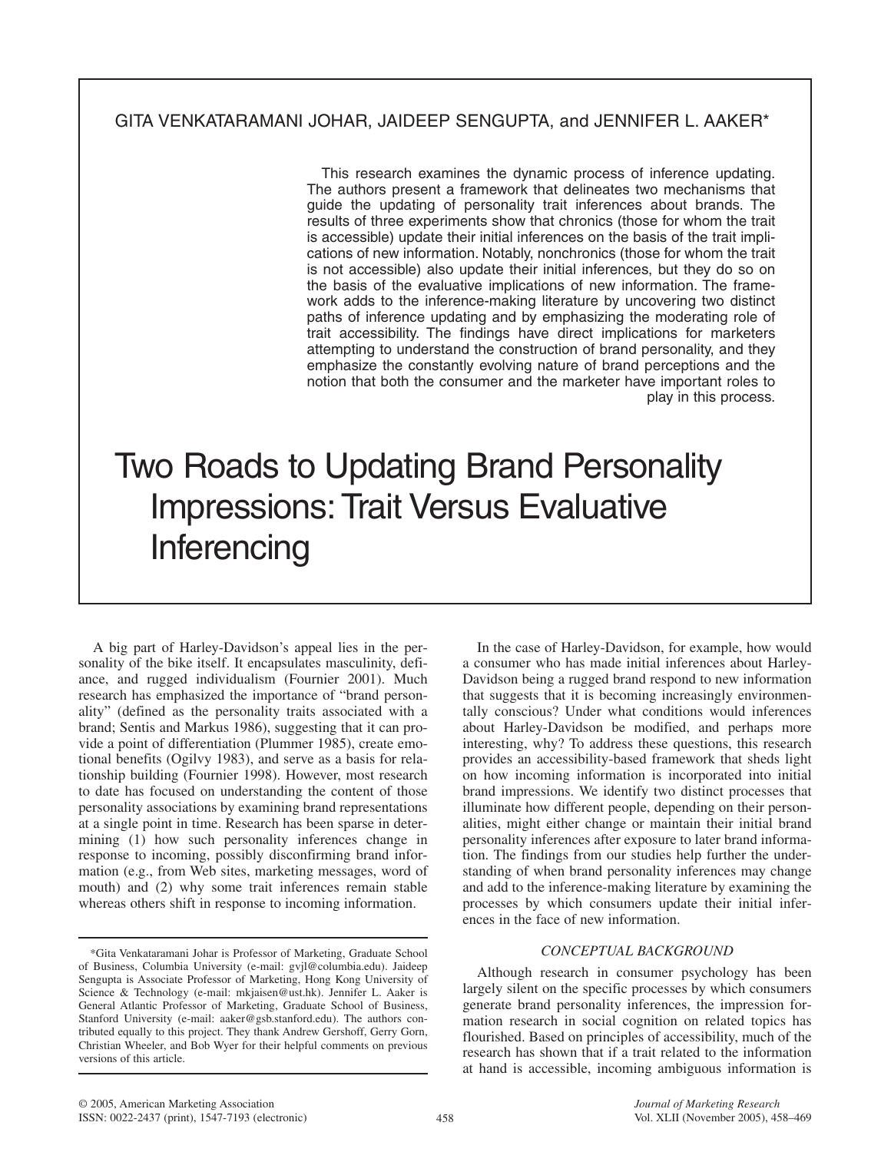## GITA VENKATARAMANI JOHAR, JAIDEEP SENGUPTA, and JENNIFER L. AAKER\*

This research examines the dynamic process of inference updating. The authors present a framework that delineates two mechanisms that guide the updating of personality trait inferences about brands. The results of three experiments show that chronics (those for whom the trait is accessible) update their initial inferences on the basis of the trait implications of new information. Notably, nonchronics (those for whom the trait is not accessible) also update their initial inferences, but they do so on the basis of the evaluative implications of new information. The framework adds to the inference-making literature by uncovering two distinct paths of inference updating and by emphasizing the moderating role of trait accessibility. The findings have direct implications for marketers attempting to understand the construction of brand personality, and they emphasize the constantly evolving nature of brand perceptions and the notion that both the consumer and the marketer have important roles to play in this process.

# Two Roads to Updating Brand Personality Impressions: Trait Versus Evaluative **Inferencing**

A big part of Harley-Davidson's appeal lies in the personality of the bike itself. It encapsulates masculinity, defiance, and rugged individualism (Fournier 2001). Much research has emphasized the importance of "brand personality" (defined as the personality traits associated with a brand; Sentis and Markus 1986), suggesting that it can provide a point of differentiation (Plummer 1985), create emotional benefits (Ogilvy 1983), and serve as a basis for relationship building (Fournier 1998). However, most research to date has focused on understanding the content of those personality associations by examining brand representations at a single point in time. Research has been sparse in determining (1) how such personality inferences change in response to incoming, possibly disconfirming brand information (e.g., from Web sites, marketing messages, word of mouth) and (2) why some trait inferences remain stable whereas others shift in response to incoming information.

In the case of Harley-Davidson, for example, how would a consumer who has made initial inferences about Harley-Davidson being a rugged brand respond to new information that suggests that it is becoming increasingly environmentally conscious? Under what conditions would inferences about Harley-Davidson be modified, and perhaps more interesting, why? To address these questions, this research provides an accessibility-based framework that sheds light on how incoming information is incorporated into initial brand impressions. We identify two distinct processes that illuminate how different people, depending on their personalities, might either change or maintain their initial brand personality inferences after exposure to later brand information. The findings from our studies help further the understanding of when brand personality inferences may change and add to the inference-making literature by examining the processes by which consumers update their initial inferences in the face of new information.

## *CONCEPTUAL BACKGROUND*

Although research in consumer psychology has been largely silent on the specific processes by which consumers generate brand personality inferences, the impression formation research in social cognition on related topics has flourished. Based on principles of accessibility, much of the research has shown that if a trait related to the information at hand is accessible, incoming ambiguous information is

<sup>\*</sup>Gita Venkataramani Johar is Professor of Marketing, Graduate School of Business, Columbia University (e-mail: gvjl@columbia.edu). Jaideep Sengupta is Associate Professor of Marketing, Hong Kong University of Science & Technology (e-mail: mkjaisen@ust.hk). Jennifer L. Aaker is General Atlantic Professor of Marketing, Graduate School of Business, Stanford University (e-mail: aaker@gsb.stanford.edu). The authors contributed equally to this project. They thank Andrew Gershoff, Gerry Gorn, Christian Wheeler, and Bob Wyer for their helpful comments on previous versions of this article.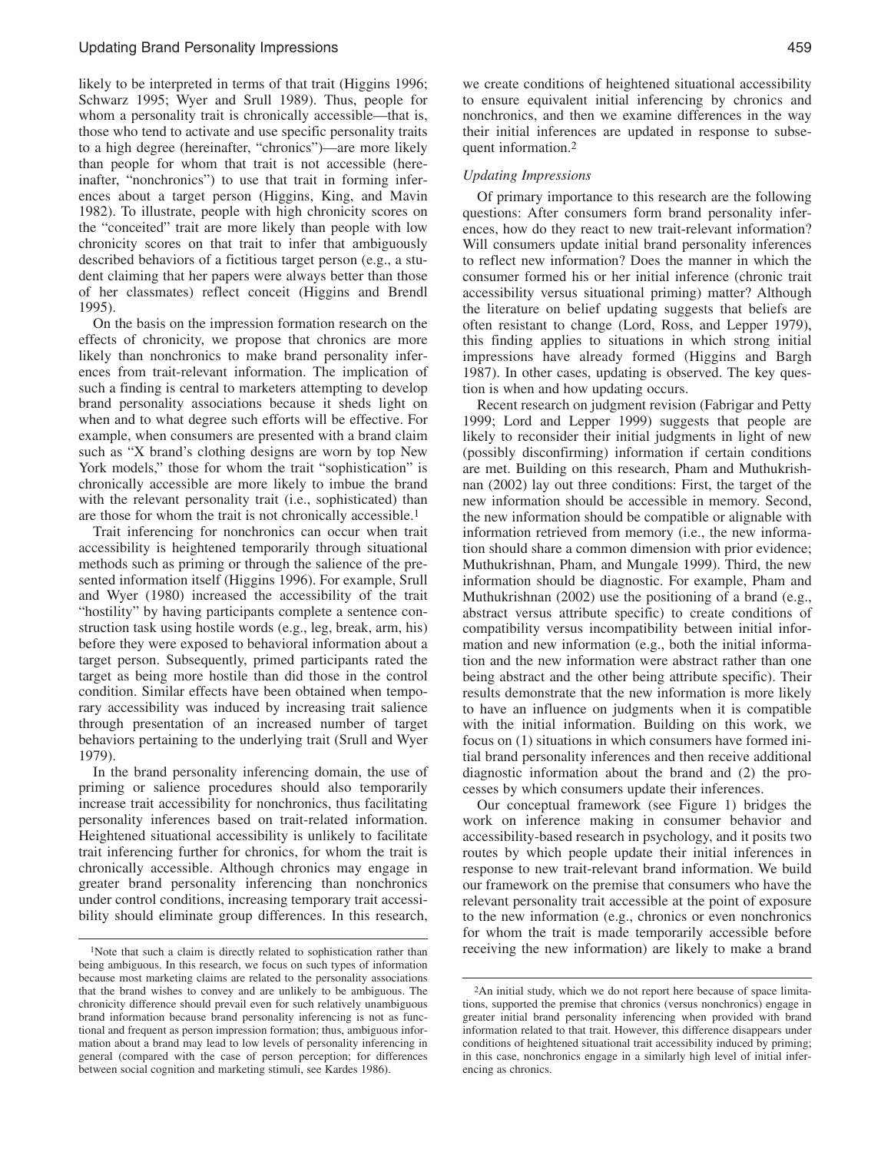likely to be interpreted in terms of that trait (Higgins 1996; Schwarz 1995; Wyer and Srull 1989). Thus, people for whom a personality trait is chronically accessible—that is, those who tend to activate and use specific personality traits to a high degree (hereinafter, "chronics")—are more likely than people for whom that trait is not accessible (hereinafter, "nonchronics") to use that trait in forming inferences about a target person (Higgins, King, and Mavin 1982). To illustrate, people with high chronicity scores on the "conceited" trait are more likely than people with low chronicity scores on that trait to infer that ambiguously described behaviors of a fictitious target person (e.g., a student claiming that her papers were always better than those of her classmates) reflect conceit (Higgins and Brendl 1995).

On the basis on the impression formation research on the effects of chronicity, we propose that chronics are more likely than nonchronics to make brand personality inferences from trait-relevant information. The implication of such a finding is central to marketers attempting to develop brand personality associations because it sheds light on when and to what degree such efforts will be effective. For example, when consumers are presented with a brand claim such as "X brand's clothing designs are worn by top New York models," those for whom the trait "sophistication" is chronically accessible are more likely to imbue the brand with the relevant personality trait (i.e., sophisticated) than are those for whom the trait is not chronically accessible.1

Trait inferencing for nonchronics can occur when trait accessibility is heightened temporarily through situational methods such as priming or through the salience of the presented information itself (Higgins 1996). For example, Srull and Wyer (1980) increased the accessibility of the trait "hostility" by having participants complete a sentence construction task using hostile words (e.g., leg, break, arm, his) before they were exposed to behavioral information about a target person. Subsequently, primed participants rated the target as being more hostile than did those in the control condition. Similar effects have been obtained when temporary accessibility was induced by increasing trait salience through presentation of an increased number of target behaviors pertaining to the underlying trait (Srull and Wyer 1979).

In the brand personality inferencing domain, the use of priming or salience procedures should also temporarily increase trait accessibility for nonchronics, thus facilitating personality inferences based on trait-related information. Heightened situational accessibility is unlikely to facilitate trait inferencing further for chronics, for whom the trait is chronically accessible. Although chronics may engage in greater brand personality inferencing than nonchronics under control conditions, increasing temporary trait accessibility should eliminate group differences. In this research,

we create conditions of heightened situational accessibility to ensure equivalent initial inferencing by chronics and nonchronics, and then we examine differences in the way their initial inferences are updated in response to subsequent information.2

#### *Updating Impressions*

Of primary importance to this research are the following questions: After consumers form brand personality inferences, how do they react to new trait-relevant information? Will consumers update initial brand personality inferences to reflect new information? Does the manner in which the consumer formed his or her initial inference (chronic trait accessibility versus situational priming) matter? Although the literature on belief updating suggests that beliefs are often resistant to change (Lord, Ross, and Lepper 1979), this finding applies to situations in which strong initial impressions have already formed (Higgins and Bargh 1987). In other cases, updating is observed. The key question is when and how updating occurs.

Recent research on judgment revision (Fabrigar and Petty 1999; Lord and Lepper 1999) suggests that people are likely to reconsider their initial judgments in light of new (possibly disconfirming) information if certain conditions are met. Building on this research, Pham and Muthukrishnan (2002) lay out three conditions: First, the target of the new information should be accessible in memory. Second, the new information should be compatible or alignable with information retrieved from memory (i.e., the new information should share a common dimension with prior evidence; Muthukrishnan, Pham, and Mungale 1999). Third, the new information should be diagnostic. For example, Pham and Muthukrishnan (2002) use the positioning of a brand (e.g., abstract versus attribute specific) to create conditions of compatibility versus incompatibility between initial information and new information (e.g., both the initial information and the new information were abstract rather than one being abstract and the other being attribute specific). Their results demonstrate that the new information is more likely to have an influence on judgments when it is compatible with the initial information. Building on this work, we focus on (1) situations in which consumers have formed initial brand personality inferences and then receive additional diagnostic information about the brand and (2) the processes by which consumers update their inferences.

Our conceptual framework (see Figure 1) bridges the work on inference making in consumer behavior and accessibility-based research in psychology, and it posits two routes by which people update their initial inferences in response to new trait-relevant brand information. We build our framework on the premise that consumers who have the relevant personality trait accessible at the point of exposure to the new information (e.g., chronics or even nonchronics for whom the trait is made temporarily accessible before receiving the new information) are likely to make a brand

<sup>&</sup>lt;sup>1</sup>Note that such a claim is directly related to sophistication rather than being ambiguous. In this research, we focus on such types of information because most marketing claims are related to the personality associations that the brand wishes to convey and are unlikely to be ambiguous. The chronicity difference should prevail even for such relatively unambiguous brand information because brand personality inferencing is not as functional and frequent as person impression formation; thus, ambiguous information about a brand may lead to low levels of personality inferencing in general (compared with the case of person perception; for differences between social cognition and marketing stimuli, see Kardes 1986).

<sup>2</sup>An initial study, which we do not report here because of space limitations, supported the premise that chronics (versus nonchronics) engage in greater initial brand personality inferencing when provided with brand information related to that trait. However, this difference disappears under conditions of heightened situational trait accessibility induced by priming; in this case, nonchronics engage in a similarly high level of initial inferencing as chronics.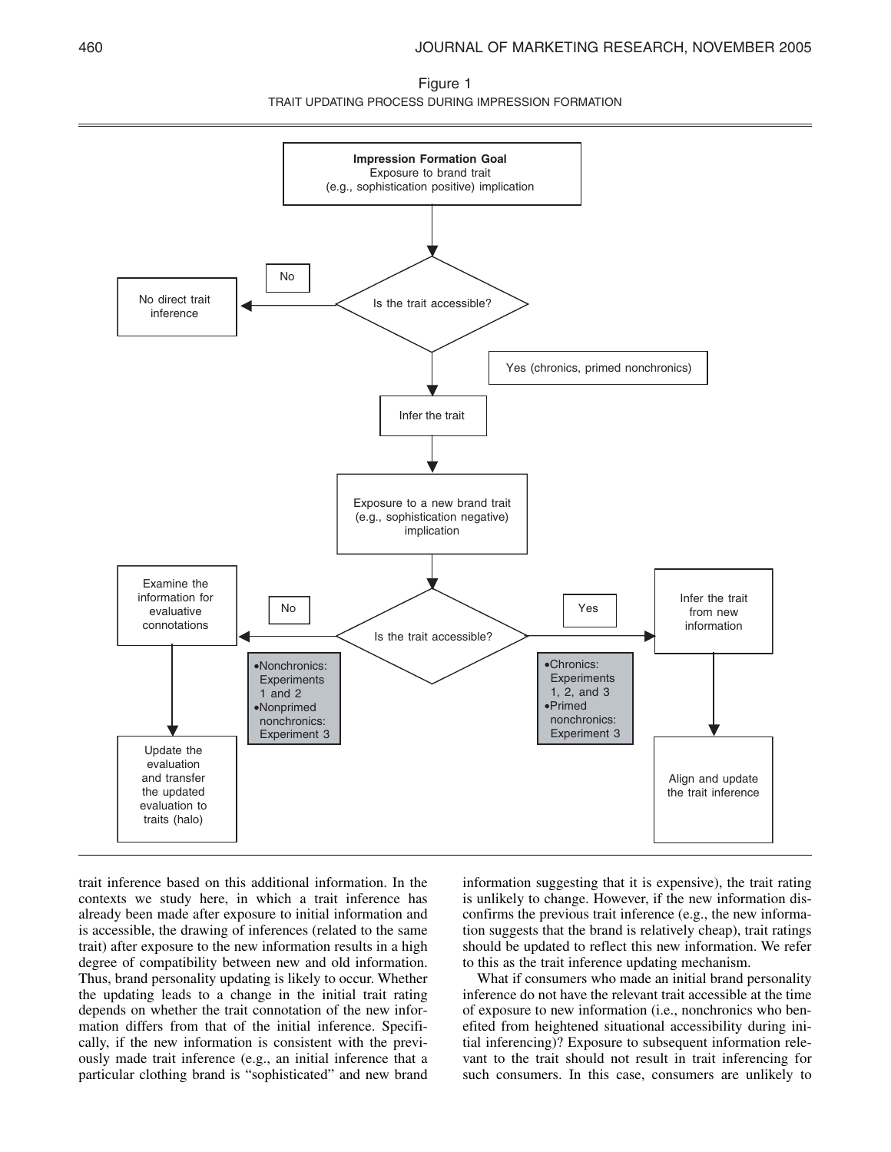Figure 1 TRAIT UPDATING PROCESS DURING IMPRESSION FORMATION



trait inference based on this additional information. In the contexts we study here, in which a trait inference has already been made after exposure to initial information and is accessible, the drawing of inferences (related to the same trait) after exposure to the new information results in a high degree of compatibility between new and old information. Thus, brand personality updating is likely to occur. Whether the updating leads to a change in the initial trait rating depends on whether the trait connotation of the new information differs from that of the initial inference. Specifically, if the new information is consistent with the previously made trait inference (e.g., an initial inference that a particular clothing brand is "sophisticated" and new brand

information suggesting that it is expensive), the trait rating is unlikely to change. However, if the new information disconfirms the previous trait inference (e.g., the new information suggests that the brand is relatively cheap), trait ratings should be updated to reflect this new information. We refer to this as the trait inference updating mechanism.

What if consumers who made an initial brand personality inference do not have the relevant trait accessible at the time of exposure to new information (i.e., nonchronics who benefited from heightened situational accessibility during initial inferencing)? Exposure to subsequent information relevant to the trait should not result in trait inferencing for such consumers. In this case, consumers are unlikely to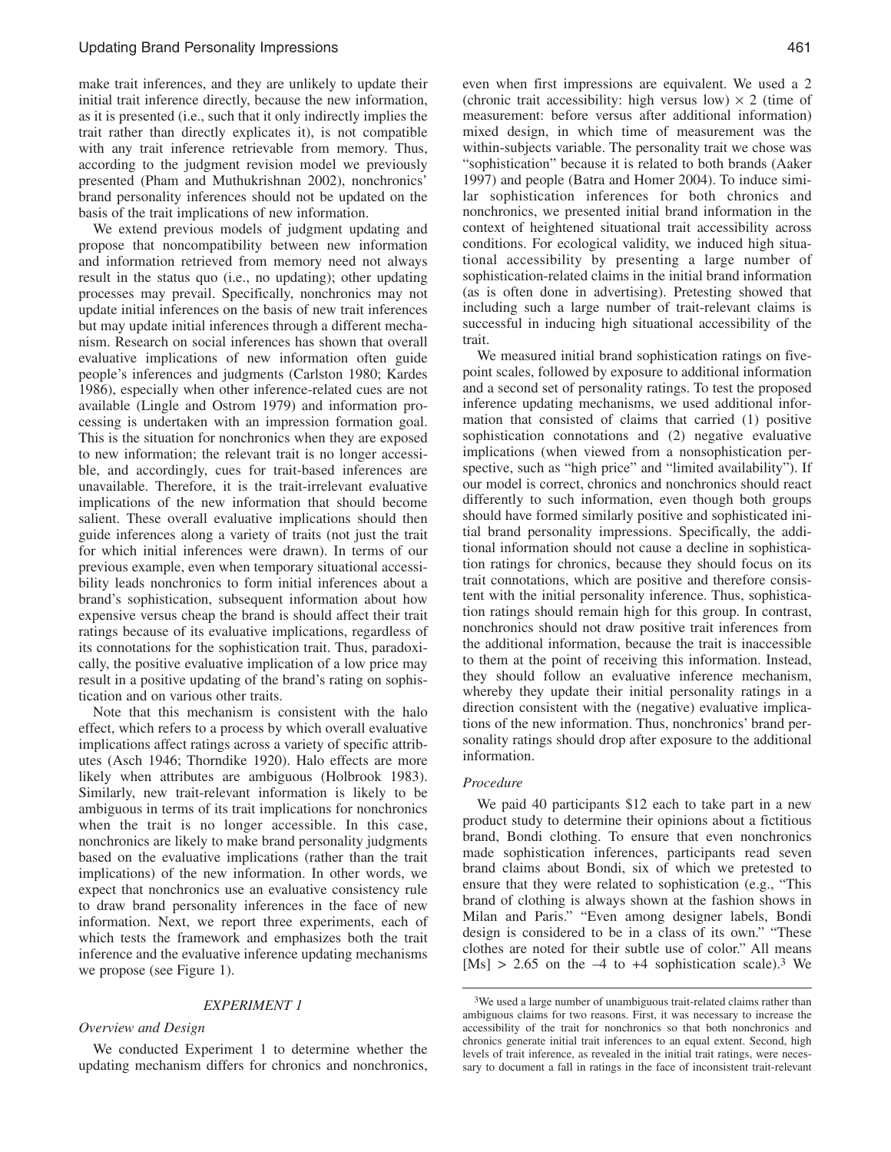make trait inferences, and they are unlikely to update their initial trait inference directly, because the new information, as it is presented (i.e., such that it only indirectly implies the trait rather than directly explicates it), is not compatible with any trait inference retrievable from memory. Thus, according to the judgment revision model we previously presented (Pham and Muthukrishnan 2002), nonchronics' brand personality inferences should not be updated on the basis of the trait implications of new information.

We extend previous models of judgment updating and propose that noncompatibility between new information and information retrieved from memory need not always result in the status quo (i.e., no updating); other updating processes may prevail. Specifically, nonchronics may not update initial inferences on the basis of new trait inferences but may update initial inferences through a different mechanism. Research on social inferences has shown that overall evaluative implications of new information often guide people's inferences and judgments (Carlston 1980; Kardes 1986), especially when other inference-related cues are not available (Lingle and Ostrom 1979) and information processing is undertaken with an impression formation goal. This is the situation for nonchronics when they are exposed to new information; the relevant trait is no longer accessible, and accordingly, cues for trait-based inferences are unavailable. Therefore, it is the trait-irrelevant evaluative implications of the new information that should become salient. These overall evaluative implications should then guide inferences along a variety of traits (not just the trait for which initial inferences were drawn). In terms of our previous example, even when temporary situational accessibility leads nonchronics to form initial inferences about a brand's sophistication, subsequent information about how expensive versus cheap the brand is should affect their trait ratings because of its evaluative implications, regardless of its connotations for the sophistication trait. Thus, paradoxically, the positive evaluative implication of a low price may result in a positive updating of the brand's rating on sophistication and on various other traits.

Note that this mechanism is consistent with the halo effect, which refers to a process by which overall evaluative implications affect ratings across a variety of specific attributes (Asch 1946; Thorndike 1920). Halo effects are more likely when attributes are ambiguous (Holbrook 1983). Similarly, new trait-relevant information is likely to be ambiguous in terms of its trait implications for nonchronics when the trait is no longer accessible. In this case, nonchronics are likely to make brand personality judgments based on the evaluative implications (rather than the trait implications) of the new information. In other words, we expect that nonchronics use an evaluative consistency rule to draw brand personality inferences in the face of new information. Next, we report three experiments, each of which tests the framework and emphasizes both the trait inference and the evaluative inference updating mechanisms we propose (see Figure 1).

## *EXPERIMENT 1*

#### *Overview and Design*

We conducted Experiment 1 to determine whether the updating mechanism differs for chronics and nonchronics,

even when first impressions are equivalent. We used a 2 (chronic trait accessibility: high versus low)  $\times$  2 (time of measurement: before versus after additional information) mixed design, in which time of measurement was the within-subjects variable. The personality trait we chose was "sophistication" because it is related to both brands (Aaker 1997) and people (Batra and Homer 2004). To induce similar sophistication inferences for both chronics and nonchronics, we presented initial brand information in the context of heightened situational trait accessibility across conditions. For ecological validity, we induced high situational accessibility by presenting a large number of sophistication-related claims in the initial brand information (as is often done in advertising). Pretesting showed that including such a large number of trait-relevant claims is successful in inducing high situational accessibility of the trait.

We measured initial brand sophistication ratings on fivepoint scales, followed by exposure to additional information and a second set of personality ratings. To test the proposed inference updating mechanisms, we used additional information that consisted of claims that carried (1) positive sophistication connotations and (2) negative evaluative implications (when viewed from a nonsophistication perspective, such as "high price" and "limited availability"). If our model is correct, chronics and nonchronics should react differently to such information, even though both groups should have formed similarly positive and sophisticated initial brand personality impressions. Specifically, the additional information should not cause a decline in sophistication ratings for chronics, because they should focus on its trait connotations, which are positive and therefore consistent with the initial personality inference. Thus, sophistication ratings should remain high for this group. In contrast, nonchronics should not draw positive trait inferences from the additional information, because the trait is inaccessible to them at the point of receiving this information. Instead, they should follow an evaluative inference mechanism, whereby they update their initial personality ratings in a direction consistent with the (negative) evaluative implications of the new information. Thus, nonchronics' brand personality ratings should drop after exposure to the additional information.

## *Procedure*

We paid 40 participants \$12 each to take part in a new product study to determine their opinions about a fictitious brand, Bondi clothing. To ensure that even nonchronics made sophistication inferences, participants read seven brand claims about Bondi, six of which we pretested to ensure that they were related to sophistication (e.g., "This brand of clothing is always shown at the fashion shows in Milan and Paris." "Even among designer labels, Bondi design is considered to be in a class of its own." "These clothes are noted for their subtle use of color." All means [Ms]  $> 2.65$  on the  $-4$  to  $+4$  sophistication scale).<sup>3</sup> We

<sup>3</sup>We used a large number of unambiguous trait-related claims rather than ambiguous claims for two reasons. First, it was necessary to increase the accessibility of the trait for nonchronics so that both nonchronics and chronics generate initial trait inferences to an equal extent. Second, high levels of trait inference, as revealed in the initial trait ratings, were necessary to document a fall in ratings in the face of inconsistent trait-relevant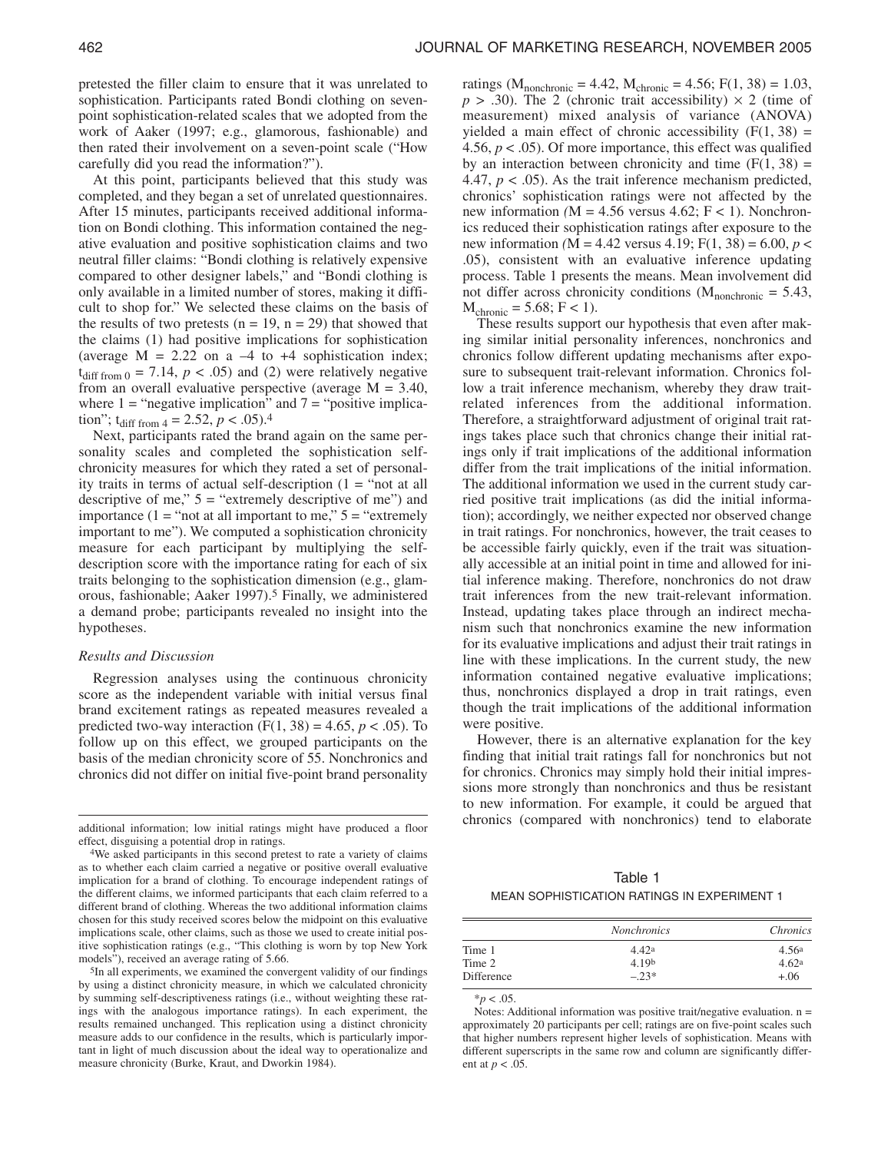pretested the filler claim to ensure that it was unrelated to sophistication. Participants rated Bondi clothing on sevenpoint sophistication-related scales that we adopted from the work of Aaker (1997; e.g., glamorous, fashionable) and then rated their involvement on a seven-point scale ("How carefully did you read the information?").

At this point, participants believed that this study was completed, and they began a set of unrelated questionnaires. After 15 minutes, participants received additional information on Bondi clothing. This information contained the negative evaluation and positive sophistication claims and two neutral filler claims: "Bondi clothing is relatively expensive compared to other designer labels," and "Bondi clothing is only available in a limited number of stores, making it difficult to shop for." We selected these claims on the basis of the results of two pretests ( $n = 19$ ,  $n = 29$ ) that showed that the claims (1) had positive implications for sophistication (average  $M = 2.22$  on a -4 to +4 sophistication index;  $t_{diff from 0}$  = 7.14,  $p < .05$ ) and (2) were relatively negative from an overall evaluative perspective (average  $M = 3.40$ , where  $1 =$  "negative implication" and  $7 =$  "positive implication";  $t_{diff from 4} = 2.52, p < .05$ .<sup>4</sup>

Next, participants rated the brand again on the same personality scales and completed the sophistication selfchronicity measures for which they rated a set of personality traits in terms of actual self-description  $(1 = "not at all$ descriptive of me,"  $5 =$  "extremely descriptive of me") and importance  $(1 = "not at all important to me," 5 = "extremely")$ important to me"). We computed a sophistication chronicity measure for each participant by multiplying the selfdescription score with the importance rating for each of six traits belonging to the sophistication dimension (e.g., glamorous, fashionable; Aaker 1997).5 Finally, we administered a demand probe; participants revealed no insight into the hypotheses.

## *Results and Discussion*

Regression analyses using the continuous chronicity score as the independent variable with initial versus final brand excitement ratings as repeated measures revealed a predicted two-way interaction  $(F(1, 38) = 4.65, p < .05)$ . To follow up on this effect, we grouped participants on the basis of the median chronicity score of 55. Nonchronics and chronics did not differ on initial five-point brand personality ratings ( $M_{nonchronic} = 4.42$ ,  $M_{chronic} = 4.56$ ;  $F(1, 38) = 1.03$ ,  $p > .30$ ). The 2 (chronic trait accessibility)  $\times$  2 (time of measurement) mixed analysis of variance (ANOVA) yielded a main effect of chronic accessibility  $(F(1, 38)) =$ 4.56, *p* < .05). Of more importance, this effect was qualified by an interaction between chronicity and time  $(F(1, 38)) =$ 4.47, *p* < .05). As the trait inference mechanism predicted, chronics' sophistication ratings were not affected by the new information  $(M = 4.56$  versus  $4.62$ ;  $F < 1$ ). Nonchronics reduced their sophistication ratings after exposure to the new information *(*M = 4.42 versus 4.19; F(1, 38) = 6.00, *p* < .05), consistent with an evaluative inference updating process. Table 1 presents the means. Mean involvement did not differ across chronicity conditions ( $M_{nonchronic} = 5.43$ ,  $M_{\text{chronic}} = 5.68; F < 1$ .

These results support our hypothesis that even after making similar initial personality inferences, nonchronics and chronics follow different updating mechanisms after exposure to subsequent trait-relevant information. Chronics follow a trait inference mechanism, whereby they draw traitrelated inferences from the additional information. Therefore, a straightforward adjustment of original trait ratings takes place such that chronics change their initial ratings only if trait implications of the additional information differ from the trait implications of the initial information. The additional information we used in the current study carried positive trait implications (as did the initial information); accordingly, we neither expected nor observed change in trait ratings. For nonchronics, however, the trait ceases to be accessible fairly quickly, even if the trait was situationally accessible at an initial point in time and allowed for initial inference making. Therefore, nonchronics do not draw trait inferences from the new trait-relevant information. Instead, updating takes place through an indirect mechanism such that nonchronics examine the new information for its evaluative implications and adjust their trait ratings in line with these implications. In the current study, the new information contained negative evaluative implications; thus, nonchronics displayed a drop in trait ratings, even though the trait implications of the additional information were positive.

However, there is an alternative explanation for the key finding that initial trait ratings fall for nonchronics but not for chronics. Chronics may simply hold their initial impressions more strongly than nonchronics and thus be resistant to new information. For example, it could be argued that chronics (compared with nonchronics) tend to elaborate

Table 1 MEAN SOPHISTICATION RATINGS IN EXPERIMENT 1

|            | <i>Nonchronics</i> | Chronics          |
|------------|--------------------|-------------------|
| Time 1     | 4.42 <sup>a</sup>  | 4.56 <sup>a</sup> |
| Time 2     | 4.19 <sup>b</sup>  | 4.62 <sup>a</sup> |
| Difference | $-.23*$            | $+.06$            |

 $*_{p}$  < .05.

Notes: Additional information was positive trait/negative evaluation. n = approximately 20 participants per cell; ratings are on five-point scales such that higher numbers represent higher levels of sophistication. Means with different superscripts in the same row and column are significantly different at *p* < .05.

additional information; low initial ratings might have produced a floor effect, disguising a potential drop in ratings.

<sup>4</sup>We asked participants in this second pretest to rate a variety of claims as to whether each claim carried a negative or positive overall evaluative implication for a brand of clothing. To encourage independent ratings of the different claims, we informed participants that each claim referred to a different brand of clothing. Whereas the two additional information claims chosen for this study received scores below the midpoint on this evaluative implications scale, other claims, such as those we used to create initial positive sophistication ratings (e.g., "This clothing is worn by top New York models"), received an average rating of 5.66.

<sup>5</sup>In all experiments, we examined the convergent validity of our findings by using a distinct chronicity measure, in which we calculated chronicity by summing self-descriptiveness ratings (i.e., without weighting these ratings with the analogous importance ratings). In each experiment, the results remained unchanged. This replication using a distinct chronicity measure adds to our confidence in the results, which is particularly important in light of much discussion about the ideal way to operationalize and measure chronicity (Burke, Kraut, and Dworkin 1984).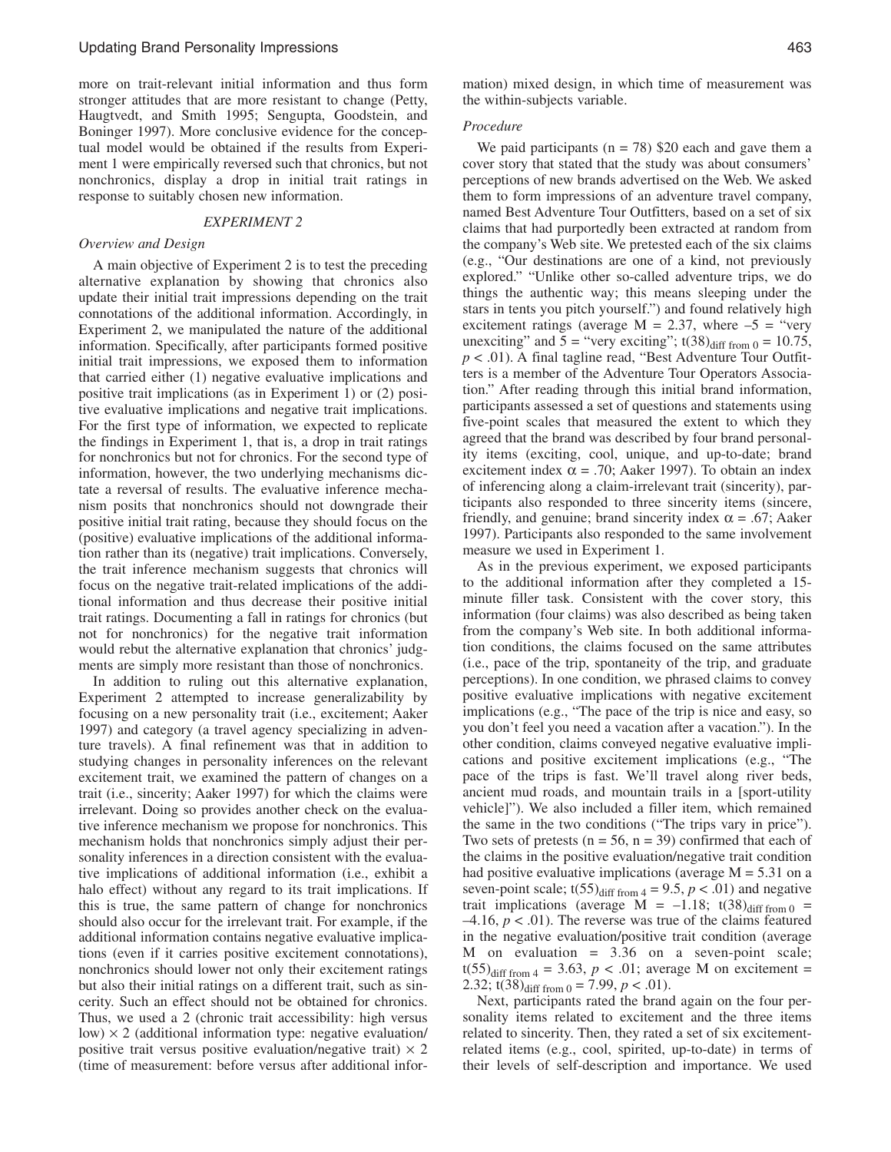more on trait-relevant initial information and thus form stronger attitudes that are more resistant to change (Petty, Haugtvedt, and Smith 1995; Sengupta, Goodstein, and Boninger 1997). More conclusive evidence for the conceptual model would be obtained if the results from Experiment 1 were empirically reversed such that chronics, but not nonchronics, display a drop in initial trait ratings in response to suitably chosen new information.

#### *EXPERIMENT 2*

#### *Overview and Design*

A main objective of Experiment 2 is to test the preceding alternative explanation by showing that chronics also update their initial trait impressions depending on the trait connotations of the additional information. Accordingly, in Experiment 2, we manipulated the nature of the additional information. Specifically, after participants formed positive initial trait impressions, we exposed them to information that carried either (1) negative evaluative implications and positive trait implications (as in Experiment 1) or (2) positive evaluative implications and negative trait implications. For the first type of information, we expected to replicate the findings in Experiment 1, that is, a drop in trait ratings for nonchronics but not for chronics. For the second type of information, however, the two underlying mechanisms dictate a reversal of results. The evaluative inference mechanism posits that nonchronics should not downgrade their positive initial trait rating, because they should focus on the (positive) evaluative implications of the additional information rather than its (negative) trait implications. Conversely, the trait inference mechanism suggests that chronics will focus on the negative trait-related implications of the additional information and thus decrease their positive initial trait ratings. Documenting a fall in ratings for chronics (but not for nonchronics) for the negative trait information would rebut the alternative explanation that chronics' judgments are simply more resistant than those of nonchronics.

In addition to ruling out this alternative explanation, Experiment 2 attempted to increase generalizability by focusing on a new personality trait (i.e., excitement; Aaker 1997) and category (a travel agency specializing in adventure travels). A final refinement was that in addition to studying changes in personality inferences on the relevant excitement trait, we examined the pattern of changes on a trait (i.e., sincerity; Aaker 1997) for which the claims were irrelevant. Doing so provides another check on the evaluative inference mechanism we propose for nonchronics. This mechanism holds that nonchronics simply adjust their personality inferences in a direction consistent with the evaluative implications of additional information (i.e., exhibit a halo effect) without any regard to its trait implications. If this is true, the same pattern of change for nonchronics should also occur for the irrelevant trait. For example, if the additional information contains negative evaluative implications (even if it carries positive excitement connotations), nonchronics should lower not only their excitement ratings but also their initial ratings on a different trait, such as sincerity. Such an effect should not be obtained for chronics. Thus, we used a 2 (chronic trait accessibility: high versus low)  $\times$  2 (additional information type: negative evaluation/ positive trait versus positive evaluation/negative trait)  $\times$  2 (time of measurement: before versus after additional information) mixed design, in which time of measurement was the within-subjects variable.

#### *Procedure*

We paid participants ( $n = 78$ ) \$20 each and gave them a cover story that stated that the study was about consumers' perceptions of new brands advertised on the Web. We asked them to form impressions of an adventure travel company, named Best Adventure Tour Outfitters, based on a set of six claims that had purportedly been extracted at random from the company's Web site. We pretested each of the six claims (e.g., "Our destinations are one of a kind, not previously explored." "Unlike other so-called adventure trips, we do things the authentic way; this means sleeping under the stars in tents you pitch yourself.") and found relatively high excitement ratings (average  $M = 2.37$ , where  $-5 =$  "very unexciting" and  $5 =$  "very exciting"; t(38)<sub>diff from 0</sub> = 10.75, *p* < .01). A final tagline read, "Best Adventure Tour Outfitters is a member of the Adventure Tour Operators Association." After reading through this initial brand information, participants assessed a set of questions and statements using five-point scales that measured the extent to which they agreed that the brand was described by four brand personality items (exciting, cool, unique, and up-to-date; brand excitement index  $\alpha = .70$ ; Aaker 1997). To obtain an index of inferencing along a claim-irrelevant trait (sincerity), participants also responded to three sincerity items (sincere, friendly, and genuine; brand sincerity index  $\alpha = .67$ ; Aaker 1997). Participants also responded to the same involvement measure we used in Experiment 1.

As in the previous experiment, we exposed participants to the additional information after they completed a 15 minute filler task. Consistent with the cover story, this information (four claims) was also described as being taken from the company's Web site. In both additional information conditions, the claims focused on the same attributes (i.e., pace of the trip, spontaneity of the trip, and graduate perceptions). In one condition, we phrased claims to convey positive evaluative implications with negative excitement implications (e.g., "The pace of the trip is nice and easy, so you don't feel you need a vacation after a vacation."). In the other condition, claims conveyed negative evaluative implications and positive excitement implications (e.g., "The pace of the trips is fast. We'll travel along river beds, ancient mud roads, and mountain trails in a [sport-utility vehicle]"). We also included a filler item, which remained the same in the two conditions ("The trips vary in price"). Two sets of pretests ( $n = 56$ ,  $n = 39$ ) confirmed that each of the claims in the positive evaluation/negative trait condition had positive evaluative implications (average  $M = 5.31$  on a seven-point scale;  $t(55)_{diff\,from\,4} = 9.5, p < .01$ ) and negative trait implications (average M =  $-1.18$ ; t(38) $_{diff\ from\ 0}$  =  $-4.16$ ,  $p < .01$ ). The reverse was true of the claims featured in the negative evaluation/positive trait condition (average M on evaluation  $= 3.36$  on a seven-point scale;  $t(55)_{diff from 4} = 3.63, p < .01$ ; average M on excitement = 2.32; t(38) $\frac{df}{dt}$  from 0 = 7.99, *p* < .01).

Next, participants rated the brand again on the four personality items related to excitement and the three items related to sincerity. Then, they rated a set of six excitementrelated items (e.g., cool, spirited, up-to-date) in terms of their levels of self-description and importance. We used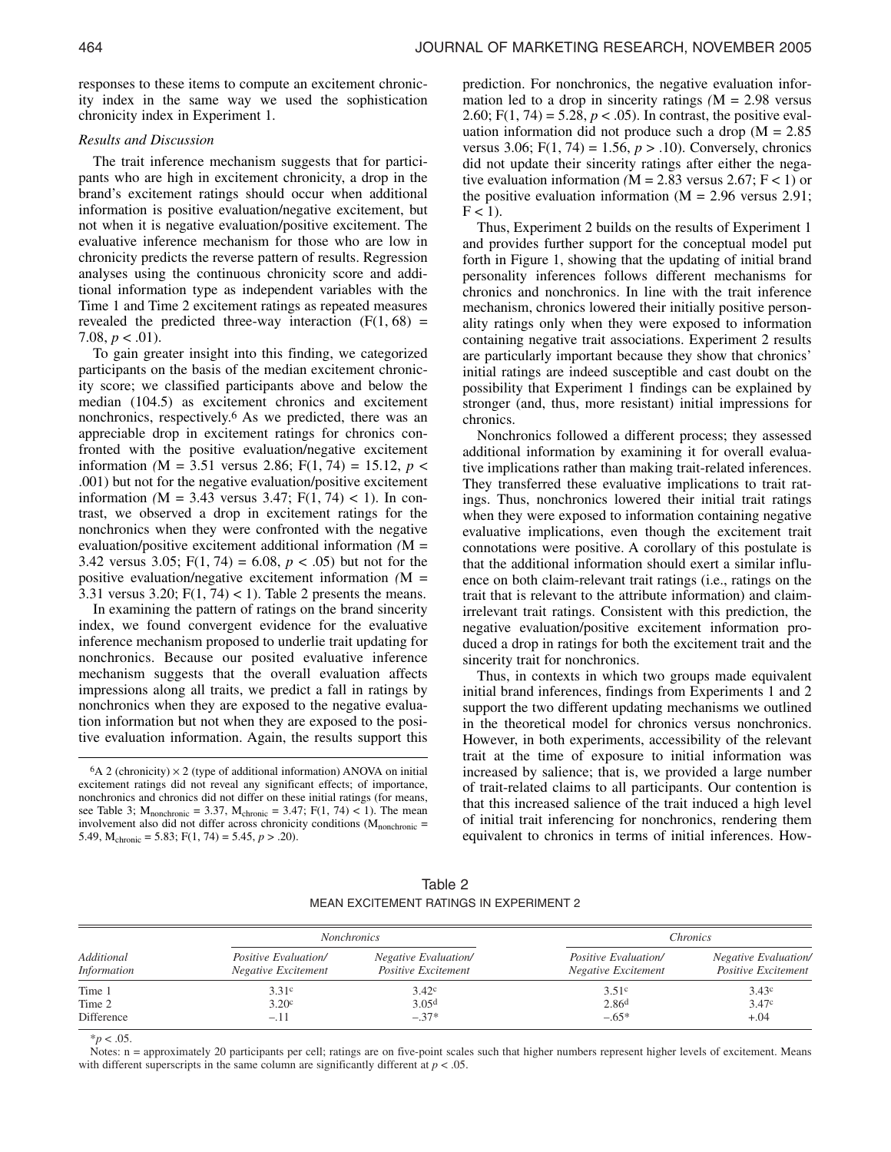responses to these items to compute an excitement chronicity index in the same way we used the sophistication chronicity index in Experiment 1.

## *Results and Discussion*

The trait inference mechanism suggests that for participants who are high in excitement chronicity, a drop in the brand's excitement ratings should occur when additional information is positive evaluation/negative excitement, but not when it is negative evaluation/positive excitement. The evaluative inference mechanism for those who are low in chronicity predicts the reverse pattern of results. Regression analyses using the continuous chronicity score and additional information type as independent variables with the Time 1 and Time 2 excitement ratings as repeated measures revealed the predicted three-way interaction  $(F(1, 68))$  = 7.08,  $p < .01$ ).

To gain greater insight into this finding, we categorized participants on the basis of the median excitement chronicity score; we classified participants above and below the median (104.5) as excitement chronics and excitement nonchronics, respectively.6 As we predicted, there was an appreciable drop in excitement ratings for chronics confronted with the positive evaluation/negative excitement information *(*M = 3.51 versus 2.86; F(1, 74) = 15.12, *p* < .001) but not for the negative evaluation/positive excitement information *(M = 3.43 versus 3.47; F(1, 74)* < 1). In contrast, we observed a drop in excitement ratings for the nonchronics when they were confronted with the negative evaluation/positive excitement additional information *(*M = 3.42 versus 3.05; F(1, 74) = 6.08,  $p < .05$ ) but not for the positive evaluation/negative excitement information *(*M = 3.31 versus 3.20;  $F(1, 74) < 1$ ). Table 2 presents the means.

In examining the pattern of ratings on the brand sincerity index, we found convergent evidence for the evaluative inference mechanism proposed to underlie trait updating for nonchronics. Because our posited evaluative inference mechanism suggests that the overall evaluation affects impressions along all traits, we predict a fall in ratings by nonchronics when they are exposed to the negative evaluation information but not when they are exposed to the positive evaluation information. Again, the results support this

prediction. For nonchronics, the negative evaluation information led to a drop in sincerity ratings *(*M = 2.98 versus 2.60; F(1, 74) = 5.28,  $p < .05$ ). In contrast, the positive evaluation information did not produce such a drop  $(M = 2.85)$ versus 3.06; F(1, 74) = 1.56,  $p > 0.10$ . Conversely, chronics did not update their sincerity ratings after either the negative evaluation information  $(M = 2.83$  versus 2.67;  $F < 1$ ) or the positive evaluation information  $(M = 2.96$  versus 2.91;  $F < 1$ ).

Thus, Experiment 2 builds on the results of Experiment 1 and provides further support for the conceptual model put forth in Figure 1, showing that the updating of initial brand personality inferences follows different mechanisms for chronics and nonchronics. In line with the trait inference mechanism, chronics lowered their initially positive personality ratings only when they were exposed to information containing negative trait associations. Experiment 2 results are particularly important because they show that chronics' initial ratings are indeed susceptible and cast doubt on the possibility that Experiment 1 findings can be explained by stronger (and, thus, more resistant) initial impressions for chronics.

Nonchronics followed a different process; they assessed additional information by examining it for overall evaluative implications rather than making trait-related inferences. They transferred these evaluative implications to trait ratings. Thus, nonchronics lowered their initial trait ratings when they were exposed to information containing negative evaluative implications, even though the excitement trait connotations were positive. A corollary of this postulate is that the additional information should exert a similar influence on both claim-relevant trait ratings (i.e., ratings on the trait that is relevant to the attribute information) and claimirrelevant trait ratings. Consistent with this prediction, the negative evaluation/positive excitement information produced a drop in ratings for both the excitement trait and the sincerity trait for nonchronics.

Thus, in contexts in which two groups made equivalent initial brand inferences, findings from Experiments 1 and 2 support the two different updating mechanisms we outlined in the theoretical model for chronics versus nonchronics. However, in both experiments, accessibility of the relevant trait at the time of exposure to initial information was increased by salience; that is, we provided a large number of trait-related claims to all participants. Our contention is that this increased salience of the trait induced a high level of initial trait inferencing for nonchronics, rendering them equivalent to chronics in terms of initial inferences. How-

| Table 2                                 |  |
|-----------------------------------------|--|
| MEAN EXCITEMENT RATINGS IN EXPERIMENT 2 |  |

| Additional<br><i>Information</i> | <i>Nonchronics</i>                          |                                             | <i>Chronics</i>                                    |                                                    |
|----------------------------------|---------------------------------------------|---------------------------------------------|----------------------------------------------------|----------------------------------------------------|
|                                  | Positive Evaluation/<br>Negative Excitement | Negative Evaluation/<br>Positive Excitement | Positive Evaluation/<br><b>Negative Excitement</b> | <b>Negative Evaluation/</b><br>Positive Excitement |
| Time 1                           | 3.31c                                       | 3.42c                                       | 3.51c                                              | 3.43c                                              |
| Time 2                           | 3.20c                                       | 3.05 <sup>d</sup>                           | 2.86 <sup>d</sup>                                  | 3.47c                                              |
| Difference                       | $-.11$                                      | $-.37*$                                     | $-.65*$                                            | $+.04$                                             |

 $*_{p}$  < .05.

Notes:  $n =$  approximately 20 participants per cell; ratings are on five-point scales such that higher numbers represent higher levels of excitement. Means with different superscripts in the same column are significantly different at  $p < .05$ .

 $6A$  2 (chronicity)  $\times$  2 (type of additional information) ANOVA on initial excitement ratings did not reveal any significant effects; of importance, nonchronics and chronics did not differ on these initial ratings (for means, see Table 3;  $M_{nonchronic} = 3.37$ ,  $M_{chronic} = 3.47$ ;  $F(1, 74) < 1$ ). The mean involvement also did not differ across chronicity conditions  $(M_{nonchronic} =$ 5.49,  $M_{chronic} = 5.83$ ;  $F(1, 74) = 5.45$ ,  $p > .20$ ).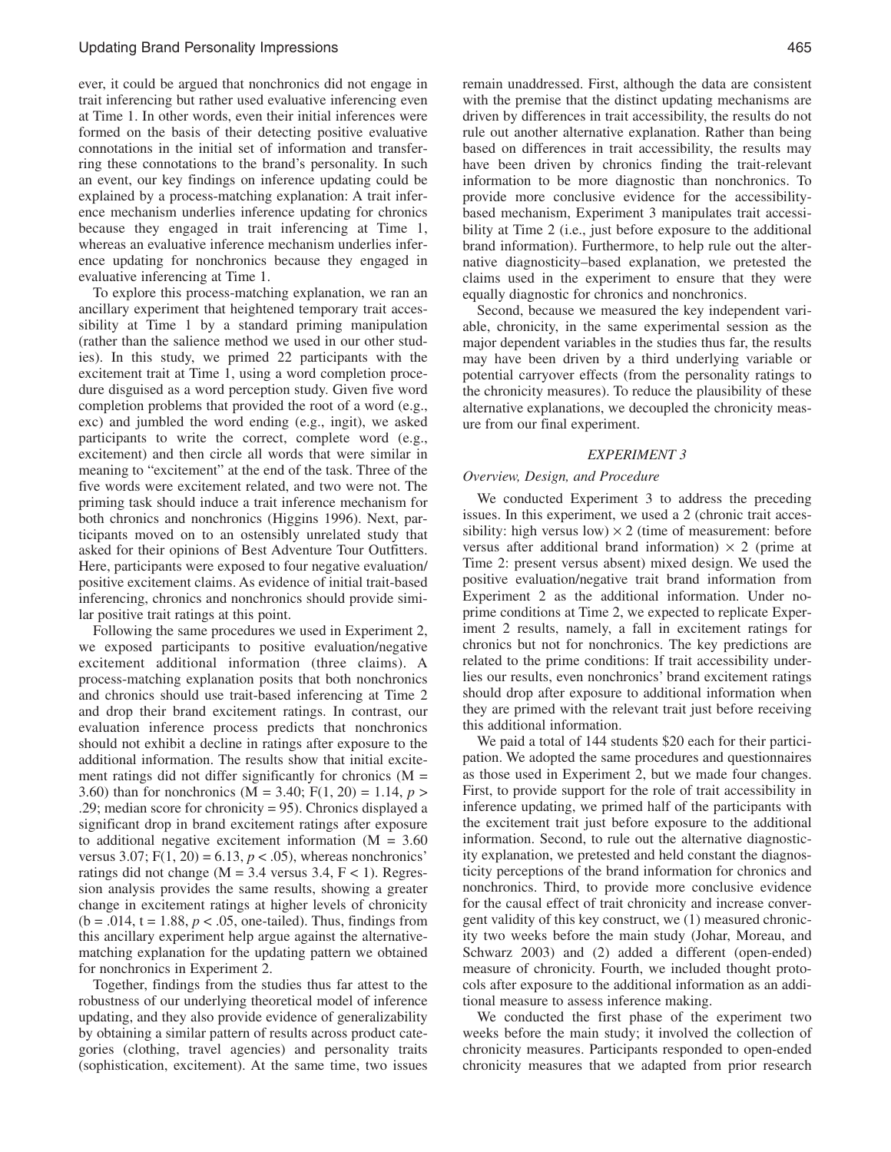ever, it could be argued that nonchronics did not engage in trait inferencing but rather used evaluative inferencing even at Time 1. In other words, even their initial inferences were formed on the basis of their detecting positive evaluative connotations in the initial set of information and transferring these connotations to the brand's personality. In such an event, our key findings on inference updating could be explained by a process-matching explanation: A trait inference mechanism underlies inference updating for chronics because they engaged in trait inferencing at Time 1, whereas an evaluative inference mechanism underlies inference updating for nonchronics because they engaged in evaluative inferencing at Time 1.

To explore this process-matching explanation, we ran an ancillary experiment that heightened temporary trait accessibility at Time 1 by a standard priming manipulation (rather than the salience method we used in our other studies). In this study, we primed 22 participants with the excitement trait at Time 1, using a word completion procedure disguised as a word perception study. Given five word completion problems that provided the root of a word (e.g., exc) and jumbled the word ending (e.g., ingit), we asked participants to write the correct, complete word (e.g., excitement) and then circle all words that were similar in meaning to "excitement" at the end of the task. Three of the five words were excitement related, and two were not. The priming task should induce a trait inference mechanism for both chronics and nonchronics (Higgins 1996). Next, participants moved on to an ostensibly unrelated study that asked for their opinions of Best Adventure Tour Outfitters. Here, participants were exposed to four negative evaluation/ positive excitement claims. As evidence of initial trait-based inferencing, chronics and nonchronics should provide similar positive trait ratings at this point.

Following the same procedures we used in Experiment 2, we exposed participants to positive evaluation/negative excitement additional information (three claims). A process-matching explanation posits that both nonchronics and chronics should use trait-based inferencing at Time 2 and drop their brand excitement ratings. In contrast, our evaluation inference process predicts that nonchronics should not exhibit a decline in ratings after exposure to the additional information. The results show that initial excitement ratings did not differ significantly for chronics  $(M =$ 3.60) than for nonchronics (M = 3.40; F(1, 20) = 1.14, *p* > .29; median score for chronicity = 95). Chronics displayed a significant drop in brand excitement ratings after exposure to additional negative excitement information  $(M = 3.60)$ versus 3.07;  $F(1, 20) = 6.13$ ,  $p < .05$ ), whereas nonchronics' ratings did not change ( $M = 3.4$  versus 3.4,  $F < 1$ ). Regression analysis provides the same results, showing a greater change in excitement ratings at higher levels of chronicity  $(b = .014, t = 1.88, p < .05,$  one-tailed). Thus, findings from this ancillary experiment help argue against the alternativematching explanation for the updating pattern we obtained for nonchronics in Experiment 2.

Together, findings from the studies thus far attest to the robustness of our underlying theoretical model of inference updating, and they also provide evidence of generalizability by obtaining a similar pattern of results across product categories (clothing, travel agencies) and personality traits (sophistication, excitement). At the same time, two issues

remain unaddressed. First, although the data are consistent with the premise that the distinct updating mechanisms are driven by differences in trait accessibility, the results do not rule out another alternative explanation. Rather than being based on differences in trait accessibility, the results may have been driven by chronics finding the trait-relevant information to be more diagnostic than nonchronics. To provide more conclusive evidence for the accessibilitybased mechanism, Experiment 3 manipulates trait accessibility at Time 2 (i.e., just before exposure to the additional brand information). Furthermore, to help rule out the alternative diagnosticity–based explanation, we pretested the claims used in the experiment to ensure that they were equally diagnostic for chronics and nonchronics.

Second, because we measured the key independent variable, chronicity, in the same experimental session as the major dependent variables in the studies thus far, the results may have been driven by a third underlying variable or potential carryover effects (from the personality ratings to the chronicity measures). To reduce the plausibility of these alternative explanations, we decoupled the chronicity measure from our final experiment.

#### *EXPERIMENT 3*

#### *Overview, Design, and Procedure*

We conducted Experiment 3 to address the preceding issues. In this experiment, we used a 2 (chronic trait accessibility: high versus low)  $\times$  2 (time of measurement: before versus after additional brand information)  $\times$  2 (prime at Time 2: present versus absent) mixed design. We used the positive evaluation/negative trait brand information from Experiment 2 as the additional information. Under noprime conditions at Time 2, we expected to replicate Experiment 2 results, namely, a fall in excitement ratings for chronics but not for nonchronics. The key predictions are related to the prime conditions: If trait accessibility underlies our results, even nonchronics' brand excitement ratings should drop after exposure to additional information when they are primed with the relevant trait just before receiving this additional information.

We paid a total of 144 students \$20 each for their participation. We adopted the same procedures and questionnaires as those used in Experiment 2, but we made four changes. First, to provide support for the role of trait accessibility in inference updating, we primed half of the participants with the excitement trait just before exposure to the additional information. Second, to rule out the alternative diagnosticity explanation, we pretested and held constant the diagnosticity perceptions of the brand information for chronics and nonchronics. Third, to provide more conclusive evidence for the causal effect of trait chronicity and increase convergent validity of this key construct, we (1) measured chronicity two weeks before the main study (Johar, Moreau, and Schwarz 2003) and (2) added a different (open-ended) measure of chronicity. Fourth, we included thought protocols after exposure to the additional information as an additional measure to assess inference making.

We conducted the first phase of the experiment two weeks before the main study; it involved the collection of chronicity measures. Participants responded to open-ended chronicity measures that we adapted from prior research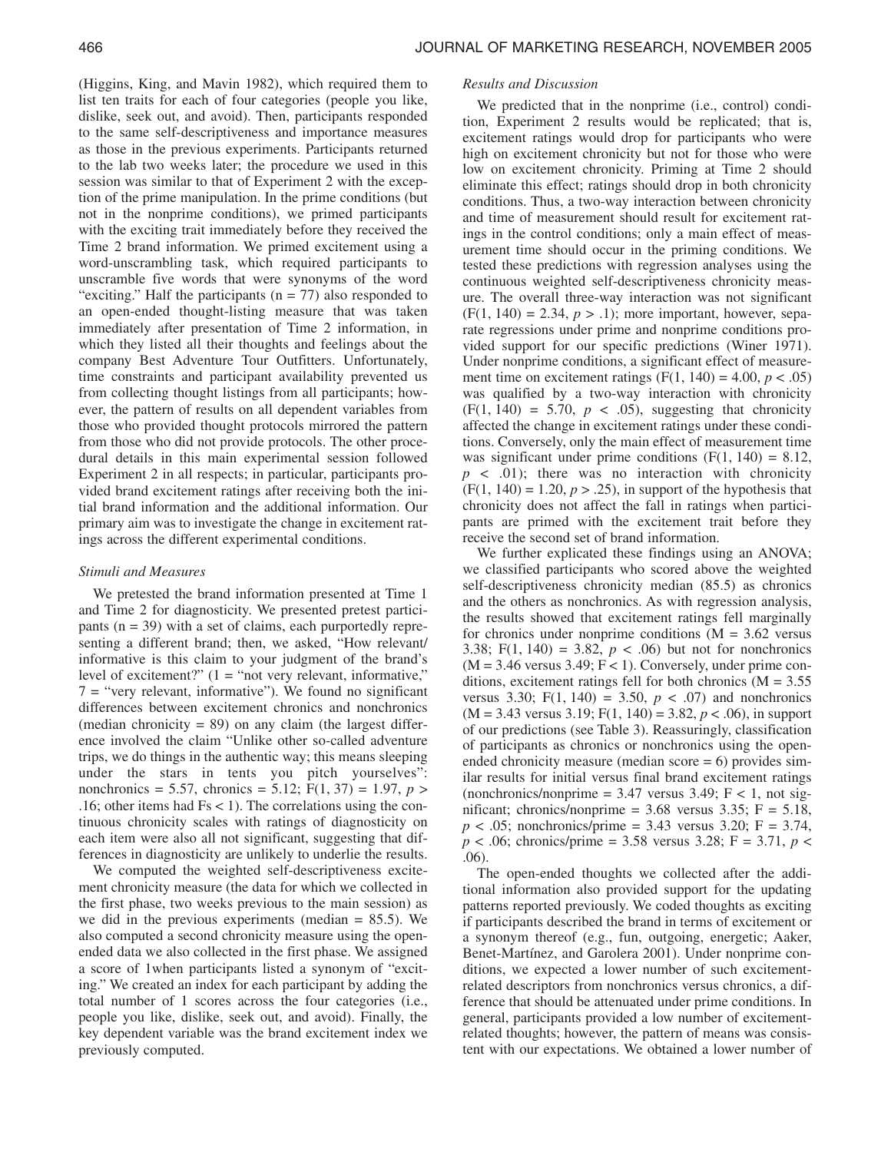(Higgins, King, and Mavin 1982), which required them to list ten traits for each of four categories (people you like, dislike, seek out, and avoid). Then, participants responded to the same self-descriptiveness and importance measures as those in the previous experiments. Participants returned to the lab two weeks later; the procedure we used in this session was similar to that of Experiment 2 with the exception of the prime manipulation. In the prime conditions (but not in the nonprime conditions), we primed participants with the exciting trait immediately before they received the Time 2 brand information. We primed excitement using a word-unscrambling task, which required participants to unscramble five words that were synonyms of the word "exciting." Half the participants  $(n = 77)$  also responded to an open-ended thought-listing measure that was taken immediately after presentation of Time 2 information, in which they listed all their thoughts and feelings about the company Best Adventure Tour Outfitters. Unfortunately, time constraints and participant availability prevented us from collecting thought listings from all participants; however, the pattern of results on all dependent variables from those who provided thought protocols mirrored the pattern from those who did not provide protocols. The other procedural details in this main experimental session followed Experiment 2 in all respects; in particular, participants provided brand excitement ratings after receiving both the initial brand information and the additional information. Our primary aim was to investigate the change in excitement ratings across the different experimental conditions.

## *Stimuli and Measures*

We pretested the brand information presented at Time 1 and Time 2 for diagnosticity. We presented pretest participants  $(n = 39)$  with a set of claims, each purportedly representing a different brand; then, we asked, "How relevant/ informative is this claim to your judgment of the brand's level of excitement?"  $(1 = "not very relevant, informative,"$  $7 =$  "very relevant, informative"). We found no significant differences between excitement chronics and nonchronics (median chronicity  $= 89$ ) on any claim (the largest difference involved the claim "Unlike other so-called adventure trips, we do things in the authentic way; this means sleeping under the stars in tents you pitch yourselves": nonchronics = 5.57, chronics = 5.12; F(1, 37) = 1.97, *p* > .16; other items had  $Fs < 1$ ). The correlations using the continuous chronicity scales with ratings of diagnosticity on each item were also all not significant, suggesting that differences in diagnosticity are unlikely to underlie the results.

We computed the weighted self-descriptiveness excitement chronicity measure (the data for which we collected in the first phase, two weeks previous to the main session) as we did in the previous experiments (median  $= 85.5$ ). We also computed a second chronicity measure using the openended data we also collected in the first phase. We assigned a score of 1when participants listed a synonym of "exciting." We created an index for each participant by adding the total number of 1 scores across the four categories (i.e., people you like, dislike, seek out, and avoid). Finally, the key dependent variable was the brand excitement index we previously computed.

#### *Results and Discussion*

We predicted that in the nonprime (i.e., control) condition, Experiment 2 results would be replicated; that is, excitement ratings would drop for participants who were high on excitement chronicity but not for those who were low on excitement chronicity. Priming at Time 2 should eliminate this effect; ratings should drop in both chronicity conditions. Thus, a two-way interaction between chronicity and time of measurement should result for excitement ratings in the control conditions; only a main effect of measurement time should occur in the priming conditions. We tested these predictions with regression analyses using the continuous weighted self-descriptiveness chronicity measure. The overall three-way interaction was not significant  $(F(1, 140) = 2.34, p > .1)$ ; more important, however, separate regressions under prime and nonprime conditions provided support for our specific predictions (Winer 1971). Under nonprime conditions, a significant effect of measurement time on excitement ratings  $(F(1, 140) = 4.00, p < .05)$ was qualified by a two-way interaction with chronicity  $(F(1, 140) = 5.70, p < .05)$ , suggesting that chronicity affected the change in excitement ratings under these conditions. Conversely, only the main effect of measurement time was significant under prime conditions  $(F(1, 140) = 8.12)$ ,  $p \leq 0.01$ ; there was no interaction with chronicity  $(F(1, 140) = 1.20, p > .25)$ , in support of the hypothesis that chronicity does not affect the fall in ratings when participants are primed with the excitement trait before they receive the second set of brand information.

We further explicated these findings using an ANOVA; we classified participants who scored above the weighted self-descriptiveness chronicity median (85.5) as chronics and the others as nonchronics. As with regression analysis, the results showed that excitement ratings fell marginally for chronics under nonprime conditions ( $M = 3.62$  versus 3.38; F(1, 140) = 3.82,  $p < .06$ ) but not for nonchronics  $(M = 3.46$  versus 3.49;  $F < 1$ ). Conversely, under prime conditions, excitement ratings fell for both chronics ( $M = 3.55$ ) versus 3.30; F(1, 140) = 3.50,  $p < .07$ ) and nonchronics (M = 3.43 versus 3.19; F(1, 140) = 3.82, *p* < .06), in support of our predictions (see Table 3). Reassuringly, classification of participants as chronics or nonchronics using the openended chronicity measure (median score  $= 6$ ) provides similar results for initial versus final brand excitement ratings (nonchronics/nonprime = 3.47 versus 3.49;  $F < 1$ , not significant; chronics/nonprime =  $3.68$  versus  $3.35$ ; F =  $5.18$ , *p* < .05; nonchronics/prime = 3.43 versus 3.20; F = 3.74, *p* < .06; chronics/prime = 3.58 versus 3.28; F = 3.71, *p* < .06).

The open-ended thoughts we collected after the additional information also provided support for the updating patterns reported previously. We coded thoughts as exciting if participants described the brand in terms of excitement or a synonym thereof (e.g., fun, outgoing, energetic; Aaker, Benet-Martínez, and Garolera 2001). Under nonprime conditions, we expected a lower number of such excitementrelated descriptors from nonchronics versus chronics, a difference that should be attenuated under prime conditions. In general, participants provided a low number of excitementrelated thoughts; however, the pattern of means was consistent with our expectations. We obtained a lower number of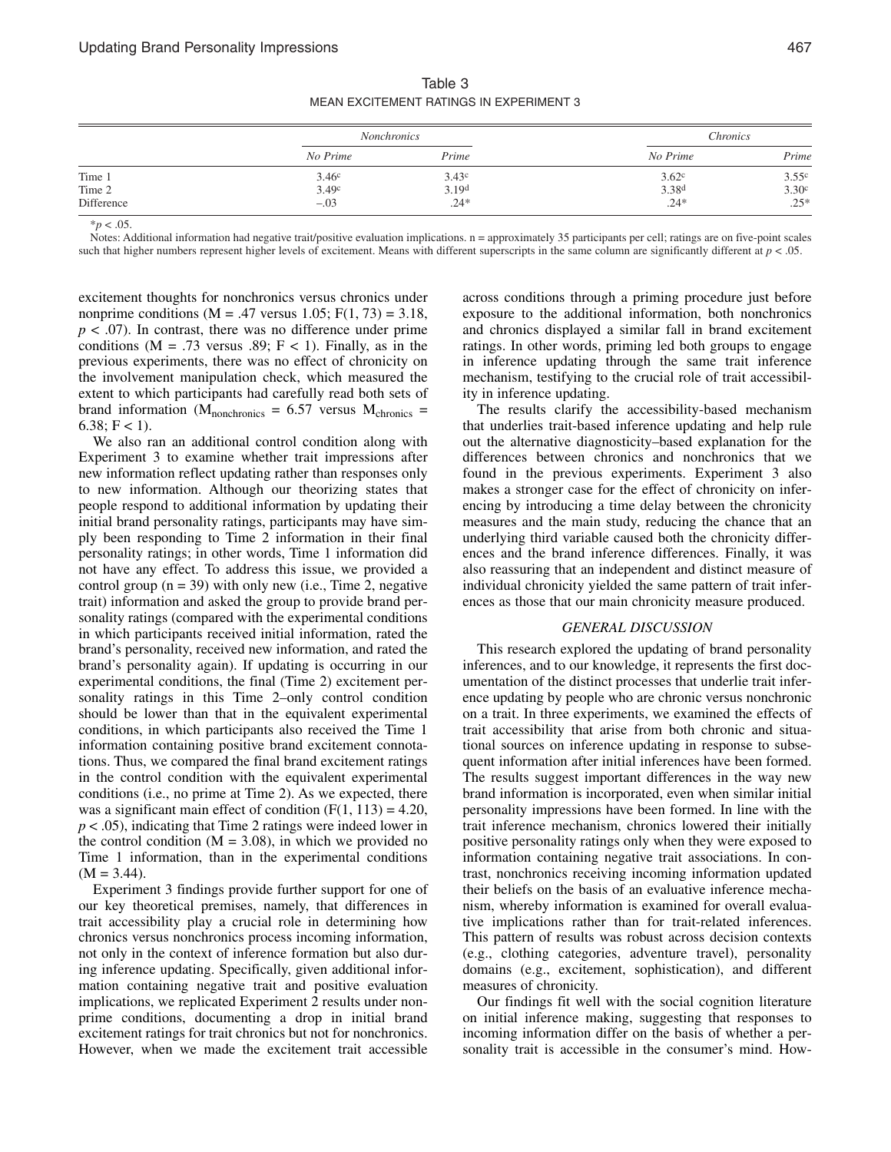*Nonchronics Chronics No Prime Prime No Prime Prime* Time 1 3.46c 3.46c 3.43c 3.55c  $\frac{3.46c}{2.55c}$  3.55c Time 2 3.49c 3.49c 3.49c 3.49c 3.49c 3.30c 3.30c 3.38d 3.30c Difference  $-0.03$  .24\* .24\* .25\*

Table 3 MEAN EXCITEMENT RATINGS IN EXPERIMENT 3

 $*$ *p* < .05.

Notes: Additional information had negative trait/positive evaluation implications. n = approximately 35 participants per cell; ratings are on five-point scales such that higher numbers represent higher levels of excitement. Means with different superscripts in the same column are significantly different at *p* < .05.

excitement thoughts for nonchronics versus chronics under nonprime conditions ( $M = .47$  versus 1.05;  $F(1, 73) = 3.18$ ,  $p < .07$ ). In contrast, there was no difference under prime conditions ( $M = .73$  versus .89;  $F < 1$ ). Finally, as in the previous experiments, there was no effect of chronicity on the involvement manipulation check, which measured the extent to which participants had carefully read both sets of brand information ( $M_{nonchronics} = 6.57$  versus  $M_{chronics} =$ 6.38;  $F < 1$ ).

We also ran an additional control condition along with Experiment 3 to examine whether trait impressions after new information reflect updating rather than responses only to new information. Although our theorizing states that people respond to additional information by updating their initial brand personality ratings, participants may have simply been responding to Time 2 information in their final personality ratings; in other words, Time 1 information did not have any effect. To address this issue, we provided a control group  $(n = 39)$  with only new (i.e., Time 2, negative trait) information and asked the group to provide brand personality ratings (compared with the experimental conditions in which participants received initial information, rated the brand's personality, received new information, and rated the brand's personality again). If updating is occurring in our experimental conditions, the final (Time 2) excitement personality ratings in this Time 2–only control condition should be lower than that in the equivalent experimental conditions, in which participants also received the Time 1 information containing positive brand excitement connotations. Thus, we compared the final brand excitement ratings in the control condition with the equivalent experimental conditions (i.e., no prime at Time 2). As we expected, there was a significant main effect of condition  $(F(1, 113) = 4.20$ , *p* < .05), indicating that Time 2 ratings were indeed lower in the control condition  $(M = 3.08)$ , in which we provided no Time 1 information, than in the experimental conditions  $(M = 3.44)$ .

Experiment 3 findings provide further support for one of our key theoretical premises, namely, that differences in trait accessibility play a crucial role in determining how chronics versus nonchronics process incoming information, not only in the context of inference formation but also during inference updating. Specifically, given additional information containing negative trait and positive evaluation implications, we replicated Experiment 2 results under nonprime conditions, documenting a drop in initial brand excitement ratings for trait chronics but not for nonchronics. However, when we made the excitement trait accessible

across conditions through a priming procedure just before exposure to the additional information, both nonchronics and chronics displayed a similar fall in brand excitement ratings. In other words, priming led both groups to engage in inference updating through the same trait inference mechanism, testifying to the crucial role of trait accessibility in inference updating.

The results clarify the accessibility-based mechanism that underlies trait-based inference updating and help rule out the alternative diagnosticity–based explanation for the differences between chronics and nonchronics that we found in the previous experiments. Experiment 3 also makes a stronger case for the effect of chronicity on inferencing by introducing a time delay between the chronicity measures and the main study, reducing the chance that an underlying third variable caused both the chronicity differences and the brand inference differences. Finally, it was also reassuring that an independent and distinct measure of individual chronicity yielded the same pattern of trait inferences as those that our main chronicity measure produced.

## *GENERAL DISCUSSION*

This research explored the updating of brand personality inferences, and to our knowledge, it represents the first documentation of the distinct processes that underlie trait inference updating by people who are chronic versus nonchronic on a trait. In three experiments, we examined the effects of trait accessibility that arise from both chronic and situational sources on inference updating in response to subsequent information after initial inferences have been formed. The results suggest important differences in the way new brand information is incorporated, even when similar initial personality impressions have been formed. In line with the trait inference mechanism, chronics lowered their initially positive personality ratings only when they were exposed to information containing negative trait associations. In contrast, nonchronics receiving incoming information updated their beliefs on the basis of an evaluative inference mechanism, whereby information is examined for overall evaluative implications rather than for trait-related inferences. This pattern of results was robust across decision contexts (e.g., clothing categories, adventure travel), personality domains (e.g., excitement, sophistication), and different measures of chronicity.

Our findings fit well with the social cognition literature on initial inference making, suggesting that responses to incoming information differ on the basis of whether a personality trait is accessible in the consumer's mind. How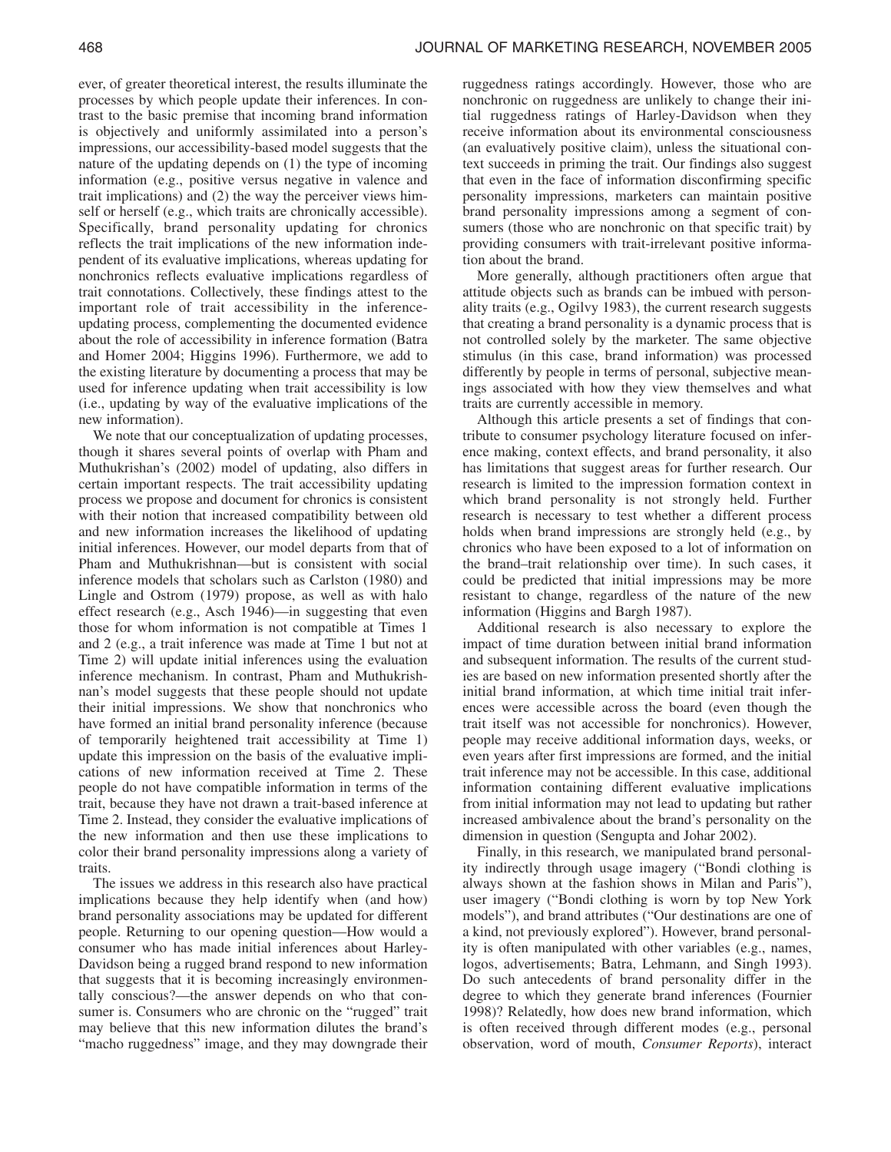ever, of greater theoretical interest, the results illuminate the processes by which people update their inferences. In contrast to the basic premise that incoming brand information is objectively and uniformly assimilated into a person's impressions, our accessibility-based model suggests that the nature of the updating depends on (1) the type of incoming information (e.g., positive versus negative in valence and trait implications) and (2) the way the perceiver views himself or herself (e.g., which traits are chronically accessible). Specifically, brand personality updating for chronics reflects the trait implications of the new information independent of its evaluative implications, whereas updating for nonchronics reflects evaluative implications regardless of trait connotations. Collectively, these findings attest to the important role of trait accessibility in the inferenceupdating process, complementing the documented evidence about the role of accessibility in inference formation (Batra and Homer 2004; Higgins 1996). Furthermore, we add to the existing literature by documenting a process that may be used for inference updating when trait accessibility is low (i.e., updating by way of the evaluative implications of the new information).

We note that our conceptualization of updating processes, though it shares several points of overlap with Pham and Muthukrishan's (2002) model of updating, also differs in certain important respects. The trait accessibility updating process we propose and document for chronics is consistent with their notion that increased compatibility between old and new information increases the likelihood of updating initial inferences. However, our model departs from that of Pham and Muthukrishnan—but is consistent with social inference models that scholars such as Carlston (1980) and Lingle and Ostrom (1979) propose, as well as with halo effect research (e.g., Asch 1946)—in suggesting that even those for whom information is not compatible at Times 1 and 2 (e.g., a trait inference was made at Time 1 but not at Time 2) will update initial inferences using the evaluation inference mechanism. In contrast, Pham and Muthukrishnan's model suggests that these people should not update their initial impressions. We show that nonchronics who have formed an initial brand personality inference (because of temporarily heightened trait accessibility at Time 1) update this impression on the basis of the evaluative implications of new information received at Time 2. These people do not have compatible information in terms of the trait, because they have not drawn a trait-based inference at Time 2. Instead, they consider the evaluative implications of the new information and then use these implications to color their brand personality impressions along a variety of traits.

The issues we address in this research also have practical implications because they help identify when (and how) brand personality associations may be updated for different people. Returning to our opening question—How would a consumer who has made initial inferences about Harley-Davidson being a rugged brand respond to new information that suggests that it is becoming increasingly environmentally conscious?—the answer depends on who that consumer is. Consumers who are chronic on the "rugged" trait may believe that this new information dilutes the brand's "macho ruggedness" image, and they may downgrade their

ruggedness ratings accordingly. However, those who are nonchronic on ruggedness are unlikely to change their initial ruggedness ratings of Harley-Davidson when they receive information about its environmental consciousness (an evaluatively positive claim), unless the situational context succeeds in priming the trait. Our findings also suggest that even in the face of information disconfirming specific personality impressions, marketers can maintain positive brand personality impressions among a segment of consumers (those who are nonchronic on that specific trait) by providing consumers with trait-irrelevant positive information about the brand.

More generally, although practitioners often argue that attitude objects such as brands can be imbued with personality traits (e.g., Ogilvy 1983), the current research suggests that creating a brand personality is a dynamic process that is not controlled solely by the marketer. The same objective stimulus (in this case, brand information) was processed differently by people in terms of personal, subjective meanings associated with how they view themselves and what traits are currently accessible in memory.

Although this article presents a set of findings that contribute to consumer psychology literature focused on inference making, context effects, and brand personality, it also has limitations that suggest areas for further research. Our research is limited to the impression formation context in which brand personality is not strongly held. Further research is necessary to test whether a different process holds when brand impressions are strongly held (e.g., by chronics who have been exposed to a lot of information on the brand–trait relationship over time). In such cases, it could be predicted that initial impressions may be more resistant to change, regardless of the nature of the new information (Higgins and Bargh 1987).

Additional research is also necessary to explore the impact of time duration between initial brand information and subsequent information. The results of the current studies are based on new information presented shortly after the initial brand information, at which time initial trait inferences were accessible across the board (even though the trait itself was not accessible for nonchronics). However, people may receive additional information days, weeks, or even years after first impressions are formed, and the initial trait inference may not be accessible. In this case, additional information containing different evaluative implications from initial information may not lead to updating but rather increased ambivalence about the brand's personality on the dimension in question (Sengupta and Johar 2002).

Finally, in this research, we manipulated brand personality indirectly through usage imagery ("Bondi clothing is always shown at the fashion shows in Milan and Paris"), user imagery ("Bondi clothing is worn by top New York models"), and brand attributes ("Our destinations are one of a kind, not previously explored"). However, brand personality is often manipulated with other variables (e.g., names, logos, advertisements; Batra, Lehmann, and Singh 1993). Do such antecedents of brand personality differ in the degree to which they generate brand inferences (Fournier 1998)? Relatedly, how does new brand information, which is often received through different modes (e.g., personal observation, word of mouth, *Consumer Reports*), interact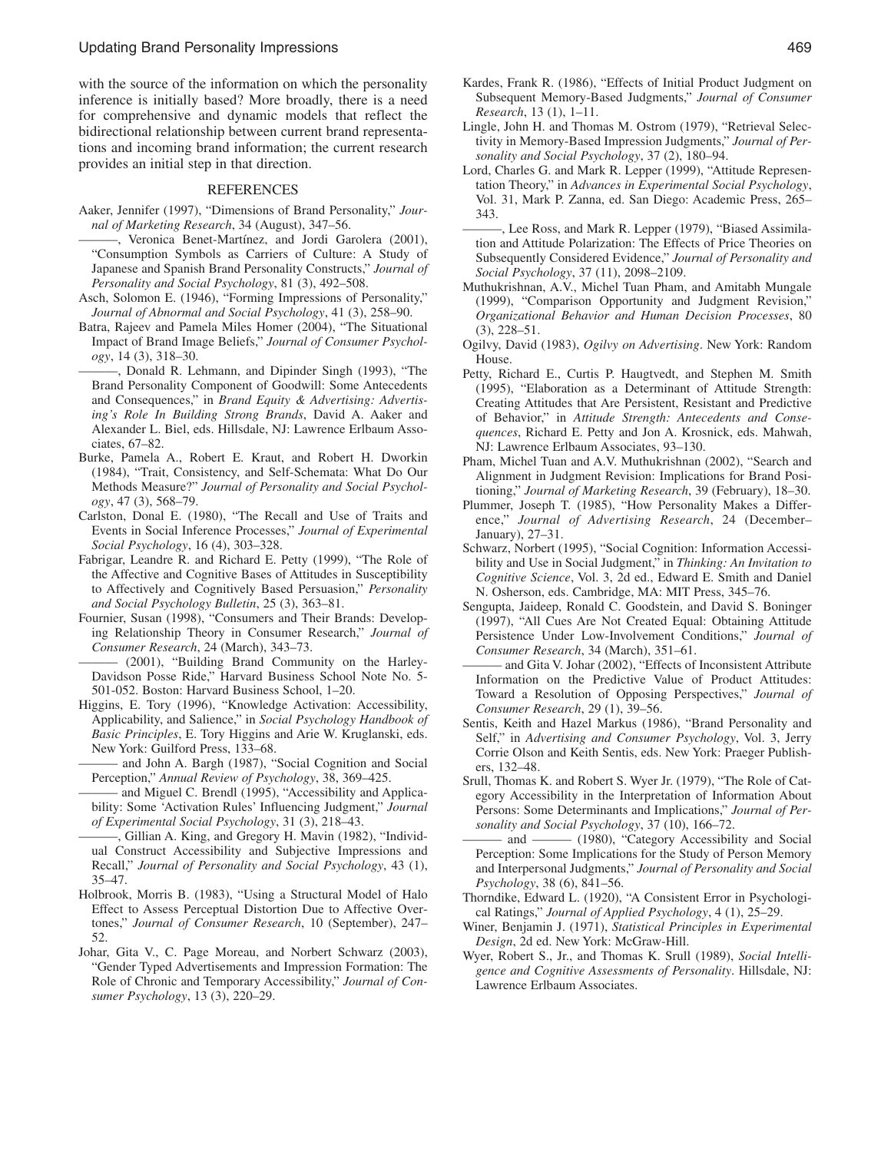with the source of the information on which the personality inference is initially based? More broadly, there is a need for comprehensive and dynamic models that reflect the bidirectional relationship between current brand representations and incoming brand information; the current research provides an initial step in that direction.

#### **REFERENCES**

- Aaker, Jennifer (1997), "Dimensions of Brand Personality," *Journal of Marketing Research*, 34 (August), 347–56.
- -, Veronica Benet-Martínez, and Jordi Garolera (2001), "Consumption Symbols as Carriers of Culture: A Study of Japanese and Spanish Brand Personality Constructs," *Journal of Personality and Social Psychology*, 81 (3), 492–508.
- Asch, Solomon E. (1946), "Forming Impressions of Personality," *Journal of Abnormal and Social Psychology*, 41 (3), 258–90.
- Batra, Rajeev and Pamela Miles Homer (2004), "The Situational Impact of Brand Image Beliefs," *Journal of Consumer Psychology*, 14 (3), 318–30.
- ———, Donald R. Lehmann, and Dipinder Singh (1993), "The Brand Personality Component of Goodwill: Some Antecedents and Consequences," in *Brand Equity & Advertising: Advertising's Role In Building Strong Brands*, David A. Aaker and Alexander L. Biel, eds. Hillsdale, NJ: Lawrence Erlbaum Associates, 67–82.
- Burke, Pamela A., Robert E. Kraut, and Robert H. Dworkin (1984), "Trait, Consistency, and Self-Schemata: What Do Our Methods Measure?" *Journal of Personality and Social Psychology*, 47 (3), 568–79.
- Carlston, Donal E. (1980), "The Recall and Use of Traits and Events in Social Inference Processes," *Journal of Experimental Social Psychology*, 16 (4), 303–328.
- Fabrigar, Leandre R. and Richard E. Petty (1999), "The Role of the Affective and Cognitive Bases of Attitudes in Susceptibility to Affectively and Cognitively Based Persuasion," *Personality and Social Psychology Bulletin*, 25 (3), 363–81.
- Fournier, Susan (1998), "Consumers and Their Brands: Developing Relationship Theory in Consumer Research," *Journal of Consumer Research*, 24 (March), 343–73.
- (2001), "Building Brand Community on the Harley-Davidson Posse Ride," Harvard Business School Note No. 5- 501-052. Boston: Harvard Business School, 1–20.
- Higgins, E. Tory (1996), "Knowledge Activation: Accessibility, Applicability, and Salience," in *Social Psychology Handbook of Basic Principles*, E. Tory Higgins and Arie W. Kruglanski, eds. New York: Guilford Press, 133–68.
	- and John A. Bargh (1987), "Social Cognition and Social Perception," *Annual Review of Psychology*, 38, 369–425.
- and Miguel C. Brendl (1995), "Accessibility and Applicability: Some 'Activation Rules' Influencing Judgment," *Journal of Experimental Social Psychology*, 31 (3), 218–43.
- , Gillian A. King, and Gregory H. Mavin (1982), "Individual Construct Accessibility and Subjective Impressions and Recall," *Journal of Personality and Social Psychology*, 43 (1), 35–47.
- Holbrook, Morris B. (1983), "Using a Structural Model of Halo Effect to Assess Perceptual Distortion Due to Affective Overtones," *Journal of Consumer Research*, 10 (September), 247– 52.
- Johar, Gita V., C. Page Moreau, and Norbert Schwarz (2003), "Gender Typed Advertisements and Impression Formation: The Role of Chronic and Temporary Accessibility," *Journal of Consumer Psychology*, 13 (3), 220–29.
- Kardes, Frank R. (1986), "Effects of Initial Product Judgment on Subsequent Memory-Based Judgments," *Journal of Consumer Research*, 13 (1), 1–11.
- Lingle, John H. and Thomas M. Ostrom (1979), "Retrieval Selectivity in Memory-Based Impression Judgments," *Journal of Personality and Social Psychology*, 37 (2), 180–94.
- Lord, Charles G. and Mark R. Lepper (1999), "Attitude Representation Theory," in *Advances in Experimental Social Psychology*, Vol. 31, Mark P. Zanna, ed. San Diego: Academic Press, 265– 343.
- , Lee Ross, and Mark R. Lepper (1979), "Biased Assimilation and Attitude Polarization: The Effects of Price Theories on Subsequently Considered Evidence," *Journal of Personality and Social Psychology*, 37 (11), 2098–2109.
- Muthukrishnan, A.V., Michel Tuan Pham, and Amitabh Mungale (1999), "Comparison Opportunity and Judgment Revision," *Organizational Behavior and Human Decision Processes*, 80 (3), 228–51.
- Ogilvy, David (1983), *Ogilvy on Advertising*. New York: Random House.
- Petty, Richard E., Curtis P. Haugtvedt, and Stephen M. Smith (1995), "Elaboration as a Determinant of Attitude Strength: Creating Attitudes that Are Persistent, Resistant and Predictive of Behavior," in *Attitude Strength: Antecedents and Consequences*, Richard E. Petty and Jon A. Krosnick, eds. Mahwah, NJ: Lawrence Erlbaum Associates, 93–130.
- Pham, Michel Tuan and A.V. Muthukrishnan (2002), "Search and Alignment in Judgment Revision: Implications for Brand Positioning," *Journal of Marketing Research*, 39 (February), 18–30.
- Plummer, Joseph T. (1985), "How Personality Makes a Difference," *Journal of Advertising Research*, 24 (December– January), 27–31.
- Schwarz, Norbert (1995), "Social Cognition: Information Accessibility and Use in Social Judgment," in *Thinking: An Invitation to Cognitive Science*, Vol. 3, 2d ed., Edward E. Smith and Daniel N. Osherson, eds. Cambridge, MA: MIT Press, 345–76.
- Sengupta, Jaideep, Ronald C. Goodstein, and David S. Boninger (1997), "All Cues Are Not Created Equal: Obtaining Attitude Persistence Under Low-Involvement Conditions," *Journal of Consumer Research*, 34 (March), 351–61.
- and Gita V. Johar (2002), "Effects of Inconsistent Attribute Information on the Predictive Value of Product Attitudes: Toward a Resolution of Opposing Perspectives," *Journal of Consumer Research*, 29 (1), 39–56.
- Sentis, Keith and Hazel Markus (1986), "Brand Personality and Self," in *Advertising and Consumer Psychology*, Vol. 3, Jerry Corrie Olson and Keith Sentis, eds. New York: Praeger Publishers, 132–48.
- Srull, Thomas K. and Robert S. Wyer Jr. (1979), "The Role of Category Accessibility in the Interpretation of Information About Persons: Some Determinants and Implications," *Journal of Personality and Social Psychology*, 37 (10), 166–72.
- and ——— (1980), "Category Accessibility and Social Perception: Some Implications for the Study of Person Memory and Interpersonal Judgments," *Journal of Personality and Social Psychology*, 38 (6), 841–56.
- Thorndike, Edward L. (1920), "A Consistent Error in Psychological Ratings," *Journal of Applied Psychology*, 4 (1), 25–29.
- Winer, Benjamin J. (1971), *Statistical Principles in Experimental Design*, 2d ed. New York: McGraw-Hill.
- Wyer, Robert S., Jr., and Thomas K. Srull (1989), *Social Intelligence and Cognitive Assessments of Personality*. Hillsdale, NJ: Lawrence Erlbaum Associates.